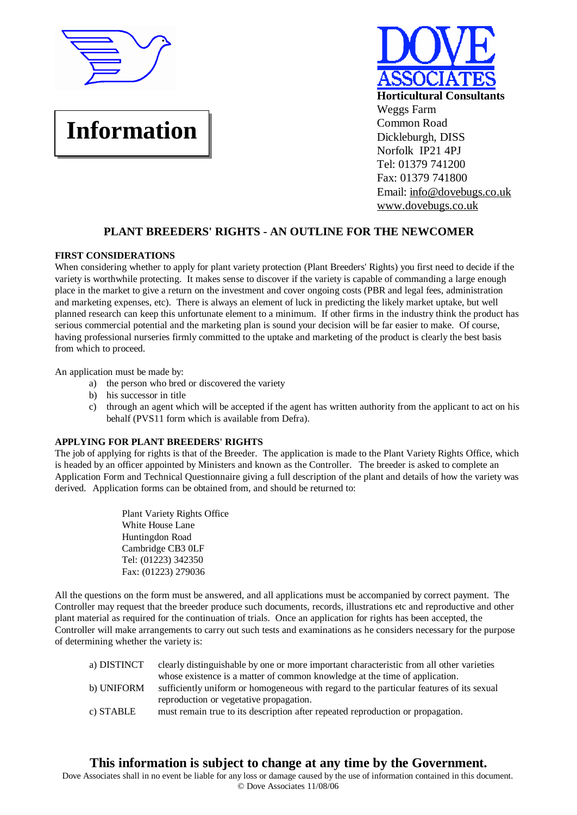

# **Information**



# **PLANT BREEDERS' RIGHTS - AN OUTLINE FOR THE NEWCOMER**

# **FIRST CONSIDERATIONS**

When considering whether to apply for plant variety protection (Plant Breeders' Rights) you first need to decide if the variety is worthwhile protecting. It makes sense to discover if the variety is capable of commanding a large enough place in the market to give a return on the investment and cover ongoing costs (PBR and legal fees, administration and marketing expenses, etc). There is always an element of luck in predicting the likely market uptake, but well planned research can keep this unfortunate element to a minimum. If other firms in the industry think the product has serious commercial potential and the marketing plan is sound your decision will be far easier to make. Of course, having professional nurseries firmly committed to the uptake and marketing of the product is clearly the best basis from which to proceed.

An application must be made by:

- a) the person who bred or discovered the variety
- b) his successor in title
- c) through an agent which will be accepted if the agent has written authority from the applicant to act on his behalf (PVS11 form which is available from Defra).

# **APPLYING FOR PLANT BREEDERS' RIGHTS**

The job of applying for rights is that of the Breeder. The application is made to the Plant Variety Rights Office, which is headed by an officer appointed by Ministers and known as the Controller. The breeder is asked to complete an Application Form and Technical Questionnaire giving a full description of the plant and details of how the variety was derived. Application forms can be obtained from, and should be returned to:

> Plant Variety Rights Office White House Lane Huntingdon Road Cambridge CB3 0LF Tel: (01223) 342350 Fax: (01223) 279036

All the questions on the form must be answered, and all applications must be accompanied by correct payment. The Controller may request that the breeder produce such documents, records, illustrations etc and reproductive and other plant material as required for the continuation of trials. Once an application for rights has been accepted, the Controller will make arrangements to carry out such tests and examinations as he considers necessary for the purpose of determining whether the variety is:

| a) DISTINCT | clearly distinguishable by one or more important characteristic from all other varieties |
|-------------|------------------------------------------------------------------------------------------|
|             | whose existence is a matter of common knowledge at the time of application.              |
| b) UNIFORM  | sufficiently uniform or homogeneous with regard to the particular features of its sexual |
|             | reproduction or vegetative propagation.                                                  |
| c) STABLE   | must remain true to its description after repeated reproduction or propagation.          |

# **This information is subject to change at any time by the Government.**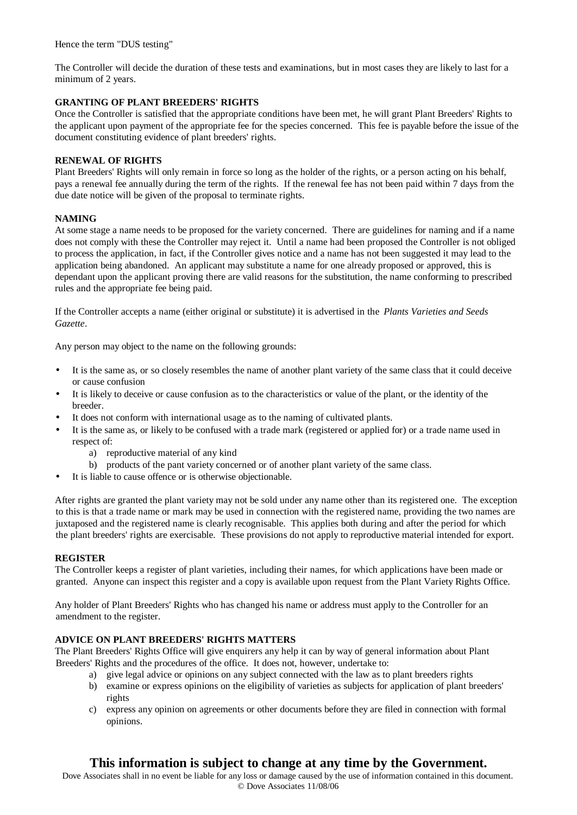Hence the term "DUS testing"

The Controller will decide the duration of these tests and examinations, but in most cases they are likely to last for a minimum of 2 years.

# **GRANTING OF PLANT BREEDERS' RIGHTS**

Once the Controller is satisfied that the appropriate conditions have been met, he will grant Plant Breeders' Rights to the applicant upon payment of the appropriate fee for the species concerned. This fee is payable before the issue of the document constituting evidence of plant breeders' rights.

# **RENEWAL OF RIGHTS**

Plant Breeders' Rights will only remain in force so long as the holder of the rights, or a person acting on his behalf, pays a renewal fee annually during the term of the rights. If the renewal fee has not been paid within 7 days from the due date notice will be given of the proposal to terminate rights.

# **NAMING**

At some stage a name needs to be proposed for the variety concerned. There are guidelines for naming and if a name does not comply with these the Controller may reject it. Until a name had been proposed the Controller is not obliged to process the application, in fact, if the Controller gives notice and a name has not been suggested it may lead to the application being abandoned. An applicant may substitute a name for one already proposed or approved, this is dependant upon the applicant proving there are valid reasons for the substitution, the name conforming to prescribed rules and the appropriate fee being paid.

If the Controller accepts a name (either original or substitute) it is advertised in the *Plants Varieties and Seeds Gazette*.

Any person may object to the name on the following grounds:

- It is the same as, or so closely resembles the name of another plant variety of the same class that it could deceive or cause confusion
- It is likely to deceive or cause confusion as to the characteristics or value of the plant, or the identity of the breeder.
- It does not conform with international usage as to the naming of cultivated plants.
- It is the same as, or likely to be confused with a trade mark (registered or applied for) or a trade name used in respect of:
	- a) reproductive material of any kind
	- b) products of the pant variety concerned or of another plant variety of the same class.
- It is liable to cause offence or is otherwise objectionable.

After rights are granted the plant variety may not be sold under any name other than its registered one. The exception to this is that a trade name or mark may be used in connection with the registered name, providing the two names are juxtaposed and the registered name is clearly recognisable. This applies both during and after the period for which the plant breeders' rights are exercisable. These provisions do not apply to reproductive material intended for export.

# **REGISTER**

The Controller keeps a register of plant varieties, including their names, for which applications have been made or granted. Anyone can inspect this register and a copy is available upon request from the Plant Variety Rights Office.

Any holder of Plant Breeders' Rights who has changed his name or address must apply to the Controller for an amendment to the register.

# **ADVICE ON PLANT BREEDERS' RIGHTS MATTERS**

The Plant Breeders' Rights Office will give enquirers any help it can by way of general information about Plant Breeders' Rights and the procedures of the office. It does not, however, undertake to:

- a) give legal advice or opinions on any subject connected with the law as to plant breeders rights
	- b) examine or express opinions on the eligibility of varieties as subjects for application of plant breeders' rights
	- c) express any opinion on agreements or other documents before they are filed in connection with formal opinions.

# **This information is subject to change at any time by the Government.**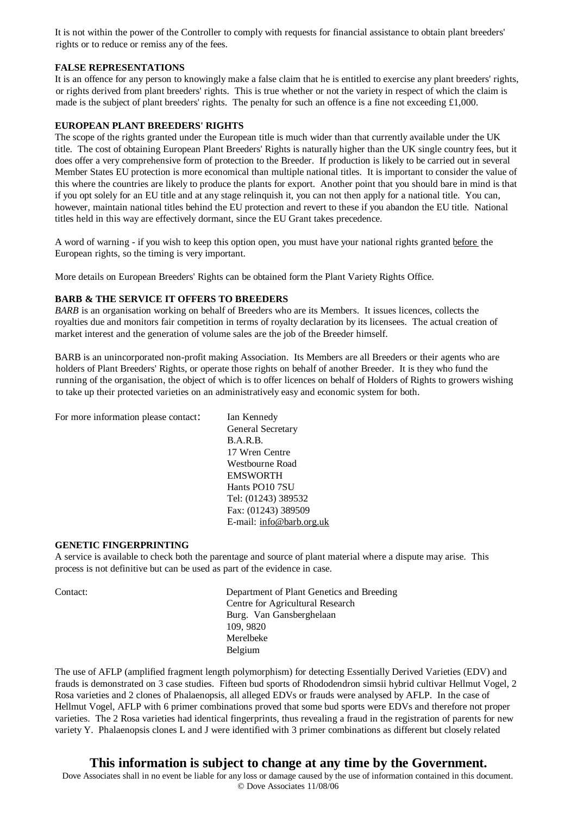It is not within the power of the Controller to comply with requests for financial assistance to obtain plant breeders' rights or to reduce or remiss any of the fees.

## **FALSE REPRESENTATIONS**

It is an offence for any person to knowingly make a false claim that he is entitled to exercise any plant breeders' rights, or rights derived from plant breeders' rights. This is true whether or not the variety in respect of which the claim is made is the subject of plant breeders' rights. The penalty for such an offence is a fine not exceeding £1,000.

# **EUROPEAN PLANT BREEDERS' RIGHTS**

The scope of the rights granted under the European title is much wider than that currently available under the UK title. The cost of obtaining European Plant Breeders' Rights is naturally higher than the UK single country fees, but it does offer a very comprehensive form of protection to the Breeder. If production is likely to be carried out in several Member States EU protection is more economical than multiple national titles. It is important to consider the value of this where the countries are likely to produce the plants for export. Another point that you should bare in mind is that if you opt solely for an EU title and at any stage relinquish it, you can not then apply for a national title. You can, however, maintain national titles behind the EU protection and revert to these if you abandon the EU title. National titles held in this way are effectively dormant, since the EU Grant takes precedence.

A word of warning - if you wish to keep this option open, you must have your national rights granted before the European rights, so the timing is very important.

More details on European Breeders' Rights can be obtained form the Plant Variety Rights Office.

# **BARB & THE SERVICE IT OFFERS TO BREEDERS**

*BARB* is an organisation working on behalf of Breeders who are its Members. It issues licences, collects the royalties due and monitors fair competition in terms of royalty declaration by its licensees. The actual creation of market interest and the generation of volume sales are the job of the Breeder himself.

BARB is an unincorporated non-profit making Association. Its Members are all Breeders or their agents who are holders of Plant Breeders' Rights, or operate those rights on behalf of another Breeder. It is they who fund the running of the organisation, the object of which is to offer licences on behalf of Holders of Rights to growers wishing to take up their protected varieties on an administratively easy and economic system for both.

For more information please contact: Ian Kennedy

General Secretary B.A.R.B. 17 Wren Centre Westbourne Road EMSWORTH Hants PO10 7SU Tel: (01243) 389532 Fax: (01243) 389509 E-mail: [info@barb.org.uk](mailto:info@barb.org.uk)

# **GENETIC FINGERPRINTING**

A service is available to check both the parentage and source of plant material where a dispute may arise. This process is not definitive but can be used as part of the evidence in case.

Contact: Department of Plant Genetics and Breeding Centre for Agricultural Research Burg. Van Gansberghelaan 109, 9820 Merelbeke Belgium

The use of AFLP (amplified fragment length polymorphism) for detecting Essentially Derived Varieties (EDV) and frauds is demonstrated on 3 case studies. Fifteen bud sports of Rhododendron simsii hybrid cultivar Hellmut Vogel, 2 Rosa varieties and 2 clones of Phalaenopsis, all alleged EDVs or frauds were analysed by AFLP. In the case of Hellmut Vogel, AFLP with 6 primer combinations proved that some bud sports were EDVs and therefore not proper varieties. The 2 Rosa varieties had identical fingerprints, thus revealing a fraud in the registration of parents for new variety Y. Phalaenopsis clones L and J were identified with 3 primer combinations as different but closely related

# **This information is subject to change at any time by the Government.**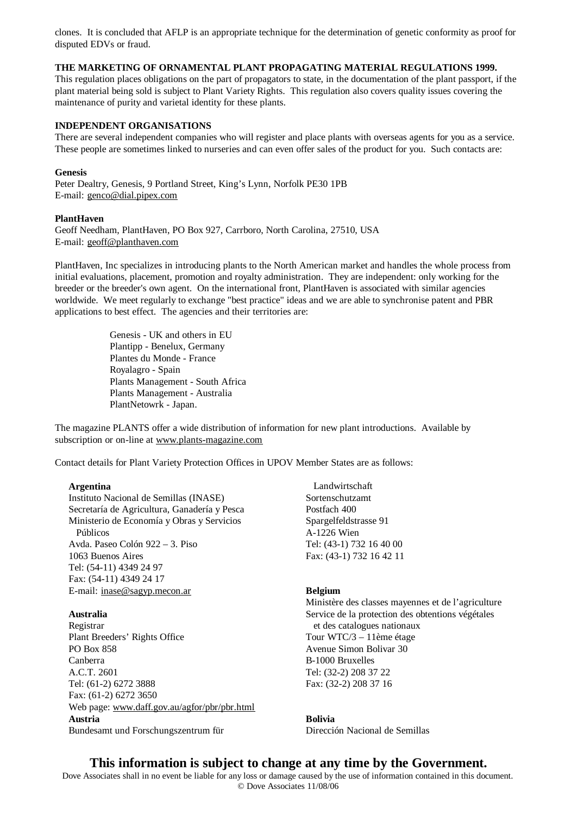clones. It is concluded that AFLP is an appropriate technique for the determination of genetic conformity as proof for disputed EDVs or fraud.

# **THE MARKETING OF ORNAMENTAL PLANT PROPAGATING MATERIAL REGULATIONS 1999.**

This regulation places obligations on the part of propagators to state, in the documentation of the plant passport, if the plant material being sold is subject to Plant Variety Rights. This regulation also covers quality issues covering the maintenance of purity and varietal identity for these plants.

# **INDEPENDENT ORGANISATIONS**

There are several independent companies who will register and place plants with overseas agents for you as a service. These people are sometimes linked to nurseries and can even offer sales of the product for you. Such contacts are:

## **Genesis**

Peter Dealtry, Genesis, 9 Portland Street, King's Lynn, Norfolk PE30 1PB E-mail: [genco@dial.pipex.com](mailto:genco@dial.pipex.com)

#### **PlantHaven**

Geoff Needham, PlantHaven, PO Box 927, Carrboro, North Carolina, 27510, USA E-mail: [geoff@planthaven.com](mailto:geoff@planthaven.com)

PlantHaven, Inc specializes in introducing plants to the North American market and handles the whole process from initial evaluations, placement, promotion and royalty administration. They are independent: only working for the breeder or the breeder's own agent. On the international front, PlantHaven is associated with similar agencies worldwide. We meet regularly to exchange "best practice" ideas and we are able to synchronise patent and PBR applications to best effect. The agencies and their territories are:

> Genesis - UK and others in EU Plantipp - Benelux, Germany Plantes du Monde - France Royalagro - Spain Plants Management - South Africa Plants Management - Australia PlantNetowrk - Japan.

The magazine PLANTS offer a wide distribution of information for new plant introductions. Available by subscription or on-line at [www.plants-magazine.com](http://www.plants-magazine.com)

Contact details for Plant Variety Protection Offices in UPOV Member States are as follows:

# **Argentina**

Instituto Nacional de Semillas (INASE) Secretaría de Agricultura, Ganadería y Pesca Ministerio de Economía y Obras y Servicios Públicos Avda. Paseo Colón 922 – 3. Piso 1063 Buenos Aires Tel: (54-11) 4349 24 97 Fax: (54-11) 4349 24 17 E-mail: [inase@sagyp.mecon.ar](mailto:inase@sagyp.mecon.ar)

# **Australia**

Registrar Plant Breeders' Rights Office PO Box 858 Canberra A.C.T. 2601 Tel: (61-2) 6272 3888 Fax: (61-2) 6272 3650 Web page: [www.daff.gov.au/agfor/pbr/pbr.html](http://www.daff.gov.au/agfor/pbr/pbr.html) **Austria**  Bundesamt und Forschungszentrum für

 Landwirtschaft Sortenschutzamt Postfach 400 Spargelfeldstrasse 91 A-1226 Wien Tel: (43-1) 732 16 40 00 Fax: (43-1) 732 16 42 11

#### **Belgium**

Ministère des classes mayennes et de l'agriculture Service de la protection des obtentions végétales et des catalogues nationaux Tour WTC/3 – 11ème étage Avenue Simon Bolivar 30 B-1000 Bruxelles Tel: (32-2) 208 37 22 Fax: (32-2) 208 37 16

**Bolivia**  Dirección Nacional de Semillas

# **This information is subject to change at any time by the Government.**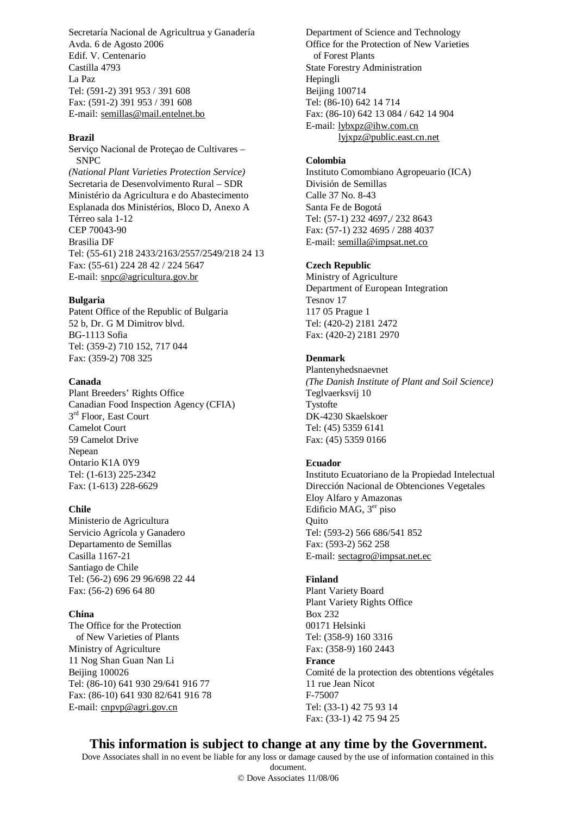Secretaría Nacional de Agricultrua y Ganadería Avda. 6 de Agosto 2006 Edif. V. Centenario Castilla 4793 La Paz Tel: (591-2) 391 953 / 391 608 Fax: (591-2) 391 953 / 391 608 E-mail: [semillas@mail.entelnet.bo](mailto:semillas@mail.entelnet.bo)

#### **Brazil**

Serviço Nacional de Proteçao de Cultivares – SNPC *(National Plant Varieties Protection Service)* Secretaria de Desenvolvimento Rural – SDR Ministério da Agricultura e do Abastecimento Esplanada dos Ministérios, Bloco D, Anexo A Térreo sala 1-12 CEP 70043-90 Brasilia DF Tel: (55-61) 218 2433/2163/2557/2549/218 24 13 Fax: (55-61) 224 28 42 / 224 5647 E-mail: [snpc@agricultura.gov.br](mailto:snpc@agricultura.gov.br)

#### **Bulgaria**

Patent Office of the Republic of Bulgaria 52 b, Dr. G M Dimitrov blvd. BG-1113 Sofia Tel: (359-2) 710 152, 717 044 Fax: (359-2) 708 325

## **Canada**

Plant Breeders' Rights Office Canadian Food Inspection Agency (CFIA) 3<sup>rd</sup> Floor, East Court Camelot Court 59 Camelot Drive Nepean Ontario K1A 0Y9 Tel: (1-613) 225-2342 Fax: (1-613) 228-6629

# **Chile**

Ministerio de Agricultura Servicio Agrícola y Ganadero Departamento de Semillas Casilla 1167-21 Santiago de Chile Tel: (56-2) 696 29 96/698 22 44 Fax: (56-2) 696 64 80

# **China**

The Office for the Protection of New Varieties of Plants Ministry of Agriculture 11 Nog Shan Guan Nan Li Beijing 100026 Tel: (86-10) 641 930 29/641 916 77 Fax: (86-10) 641 930 82/641 916 78 E-mail: [cnpvp@agri.gov.cn](mailto:cnpvp@agri.gov.cn)

Department of Science and Technology Office for the Protection of New Varieties of Forest Plants State Forestry Administration Hepingli **Beijing 100714** Tel: (86-10) 642 14 714 Fax: (86-10) 642 13 084 / 642 14 904 E-mail: [lybxpz@ihw.com.cn](mailto:lybxpz@ihw.com.cn) [lyjxpz@public.east.cn.net](mailto:lyjxpz@public.east.cn.net)

# **Colombia**

Instituto Comombiano Agropeuario (ICA) División de Semillas Calle 37 No. 8-43 Santa Fe de Bogotá Tel: (57-1) 232 4697,/ 232 8643 Fax: (57-1) 232 4695 / 288 4037 E-mail: [semilla@impsat.net.co](mailto:semilla@impsat.net.co)

#### **Czech Republic**

Ministry of Agriculture Department of European Integration Tesnov 17 117 05 Prague 1 Tel: (420-2) 2181 2472 Fax: (420-2) 2181 2970

# **Denmark**

Plantenyhedsnaevnet *(The Danish Institute of Plant and Soil Science)* Teglvaerksvij 10 Tystofte DK-4230 Skaelskoer Tel: (45) 5359 6141 Fax: (45) 5359 0166

#### **Ecuador**

Instituto Ecuatoriano de la Propiedad Intelectual Dirección Nacional de Obtenciones Vegetales Eloy Alfaro y Amazonas Edificio MAG, 3<sup>er</sup> piso **Quito** Tel: (593-2) 566 686/541 852 Fax: (593-2) 562 258 E-mail: [sectagro@impsat.net.ec](mailto:sectagro@impsat.net.ec)

# **Finland**

Plant Variety Board Plant Variety Rights Office Box 232 00171 Helsinki Tel: (358-9) 160 3316 Fax: (358-9) 160 2443 **France**  Comité de la protection des obtentions végétales 11 rue Jean Nicot F-75007 Tel: (33-1) 42 75 93 14 Fax: (33-1) 42 75 94 25

# **This information is subject to change at any time by the Government.**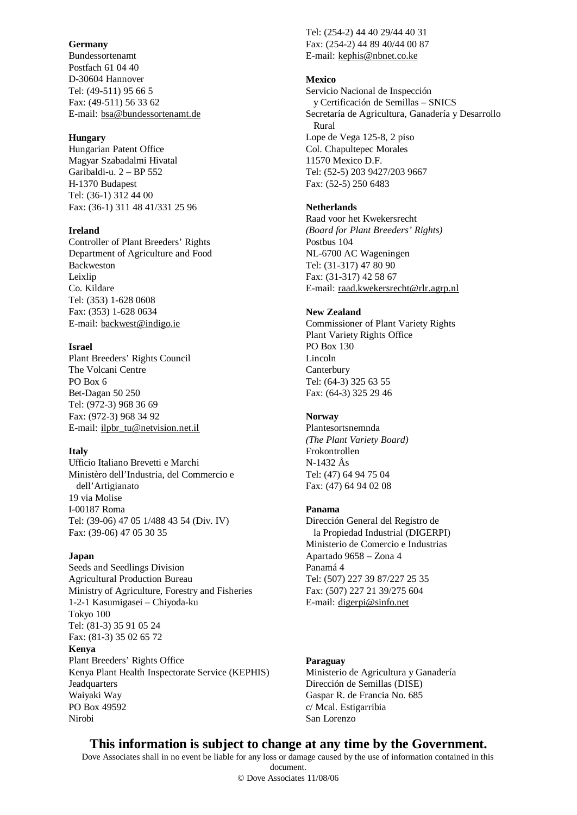#### **Germany**

Bundessortenamt Postfach 61 04 40 D-30604 Hannover Tel: (49-511) 95 66 5 Fax: (49-511) 56 33 62 E-mail: [bsa@bundessortenamt.de](mailto:bsa@bundessortenamt.de)

#### **Hungary**

Hungarian Patent Office Magyar Szabadalmi Hivatal Garibaldi-u. 2 – BP 552 H-1370 Budapest Tel: (36-1) 312 44 00 Fax: (36-1) 311 48 41/331 25 96

#### **Ireland**

Controller of Plant Breeders' Rights Department of Agriculture and Food Backweston Leixlip Co. Kildare Tel: (353) 1-628 0608 Fax: (353) 1-628 0634 E-mail: [backwest@indigo.ie](mailto:backwest@indigo.ie)

#### **Israel**

Plant Breeders' Rights Council The Volcani Centre PO Box 6 Bet-Dagan 50 250 Tel: (972-3) 968 36 69 Fax: (972-3) 968 34 92 E-mail: [ilpbr\\_tu@netvision.net.il](mailto:ilpbr_tu@netvision.net.il)

## **Italy**

Ufficio Italiano Brevetti e Marchi Ministèro dell'Industria, del Commercio e dell'Artigianato 19 via Molise I-00187 Roma Tel: (39-06) 47 05 1/488 43 54 (Div. IV) Fax: (39-06) 47 05 30 35

#### **Japan**

Seeds and Seedlings Division Agricultural Production Bureau Ministry of Agriculture, Forestry and Fisheries 1-2-1 Kasumigasei – Chiyoda-ku Tokyo 100 Tel: (81-3) 35 91 05 24 Fax: (81-3) 35 02 65 72 **Kenya**  Plant Breeders' Rights Office Kenya Plant Health Inspectorate Service (KEPHIS) Jeadquarters Waiyaki Way PO Box 49592 Nirobi

Tel: (254-2) 44 40 29/44 40 31 Fax: (254-2) 44 89 40/44 00 87 E-mail: [kephis@nbnet.co.ke](mailto:kephis@nbnet.co.ke)

## **Mexico**

Servicio Nacional de Inspección y Certificación de Semillas – SNICS Secretaría de Agricultura, Ganadería y Desarrollo Rural Lope de Vega 125-8, 2 piso Col. Chapultepec Morales 11570 Mexico D.F. Tel: (52-5) 203 9427/203 9667 Fax: (52-5) 250 6483

# **Netherlands**

Raad voor het Kwekersrecht *(Board for Plant Breeders' Rights)* Postbus 104 NL-6700 AC Wageningen Tel: (31-317) 47 80 90 Fax: (31-317) 42 58 67 E-mail: [raad.kwekersrecht@rlr.agrp.nl](mailto:raad.kwekersrecht@rlr.agrp.nl)

#### **New Zealand**

Commissioner of Plant Variety Rights Plant Variety Rights Office PO Box 130 Lincoln **Canterbury** Tel: (64-3) 325 63 55 Fax: (64-3) 325 29 46

# **Norway**

Plantesortsnemnda *(The Plant Variety Board)* Frokontrollen N-1432 Ås Tel: (47) 64 94 75 04 Fax: (47) 64 94 02 08

#### **Panama**

Dirección General del Registro de la Propiedad Industrial (DIGERPI) Ministerio de Comercio e Industrias Apartado 9658 – Zona 4 Panamá 4 Tel: (507) 227 39 87/227 25 35 Fax: (507) 227 21 39/275 604 E-mail: [digerpi@sinfo.net](mailto:digerpi@sinfo.net)

# **Paraguay**

Ministerio de Agricultura y Ganadería Dirección de Semillas (DISE) Gaspar R. de Francia No. 685 c/ Mcal. Estigarribia San Lorenzo

# **This information is subject to change at any time by the Government.**

Dove Associates shall in no event be liable for any loss or damage caused by the use of information contained in this document.

© Dove Associates 11/08/06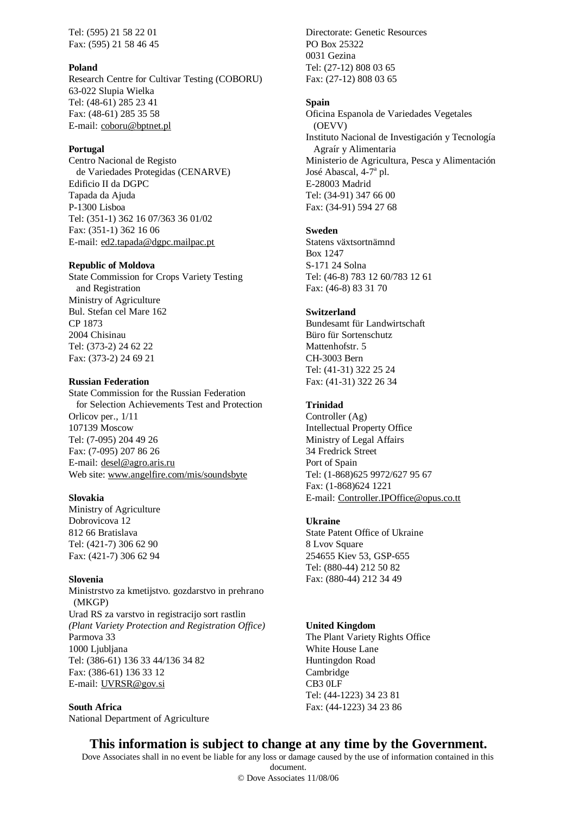Tel: (595) 21 58 22 01 Fax: (595) 21 58 46 45

#### **Poland**

Research Centre for Cultivar Testing (COBORU) 63-022 Slupia Wielka Tel: (48-61) 285 23 41 Fax: (48-61) 285 35 58 E-mail: [coboru@bptnet.pl](mailto:coboru@bptnet.pl)

#### **Portugal**

Centro Nacional de Registo de Variedades Protegidas (CENARVE) Edificio II da DGPC Tapada da Ajuda P-1300 Lisboa Tel: (351-1) 362 16 07/363 36 01/02 Fax: (351-1) 362 16 06 E-mail: [ed2.tapada@dgpc.mailpac.pt](mailto:ed2.tapada@dgpc.mailpac.pt)

#### **Republic of Moldova**

State Commission for Crops Variety Testing and Registration Ministry of Agriculture Bul. Stefan cel Mare 162 CP 1873 2004 Chisinau Tel: (373-2) 24 62 22 Fax: (373-2) 24 69 21

## **Russian Federation**

State Commission for the Russian Federation for Selection Achievements Test and Protection Orlicov per., 1/11 107139 Moscow Tel: (7-095) 204 49 26 Fax: (7-095) 207 86 26 E-mail: [desel@agro.aris.ru](mailto:desel@agro.aris.ru) Web site: [www.angelfire.com/mis/soundsbyte](http://www.angelfire.com/mis/soundsbyte)

#### **Slovakia**

Ministry of Agriculture Dobrovicova 12 812 66 Bratislava Tel: (421-7) 306 62 90 Fax: (421-7) 306 62 94

# **Slovenia**

Ministrstvo za kmetijstvo. gozdarstvo in prehrano (MKGP) Urad RS za varstvo in registracijo sort rastlin *(Plant Variety Protection and Registration Office)* Parmova 33 1000 Ljubljana Tel: (386-61) 136 33 44/136 34 82 Fax: (386-61) 136 33 12 E-mail: [UVRSR@gov.si](mailto:UVRSR@gov.si)

**South Africa**  National Department of Agriculture

Directorate: Genetic Resources PO Box 25322 0031 Gezina Tel: (27-12) 808 03 65 Fax: (27-12) 808 03 65

#### **Spain**

Oficina Espanola de Variedades Vegetales (OEVV) Instituto Nacional de Investigación y Tecnología Agraír y Alimentaria Ministerio de Agricultura, Pesca y Alimentación José Abascal, 4-7<sup>a</sup> pl. E-28003 Madrid Tel: (34-91) 347 66 00 Fax: (34-91) 594 27 68

#### **Sweden**

Statens växtsortnämnd Box 1247 S-171 24 Solna Tel: (46-8) 783 12 60/783 12 61 Fax: (46-8) 83 31 70

#### **Switzerland**

Bundesamt für Landwirtschaft Büro für Sortenschutz Mattenhofstr. 5 CH-3003 Bern Tel: (41-31) 322 25 24 Fax: (41-31) 322 26 34

# **Trinidad**

Controller (Ag) Intellectual Property Office Ministry of Legal Affairs 34 Fredrick Street Port of Spain Tel: (1-868)625 9972/627 95 67 Fax: (1-868)624 1221 E-mail: [Controller.IPOffice@opus.co.tt](mailto:Controller.IPOffice@opus.co.tt)

#### **Ukraine**

State Patent Office of Ukraine 8 Lvov Square 254655 Kiev 53, GSP-655 Tel: (880-44) 212 50 82 Fax: (880-44) 212 34 49

#### **United Kingdom**

The Plant Variety Rights Office White House Lane Huntingdon Road Cambridge CB3 0LF Tel: (44-1223) 34 23 81 Fax: (44-1223) 34 23 86

# **This information is subject to change at any time by the Government.**

Dove Associates shall in no event be liable for any loss or damage caused by the use of information contained in this document.

© Dove Associates 11/08/06